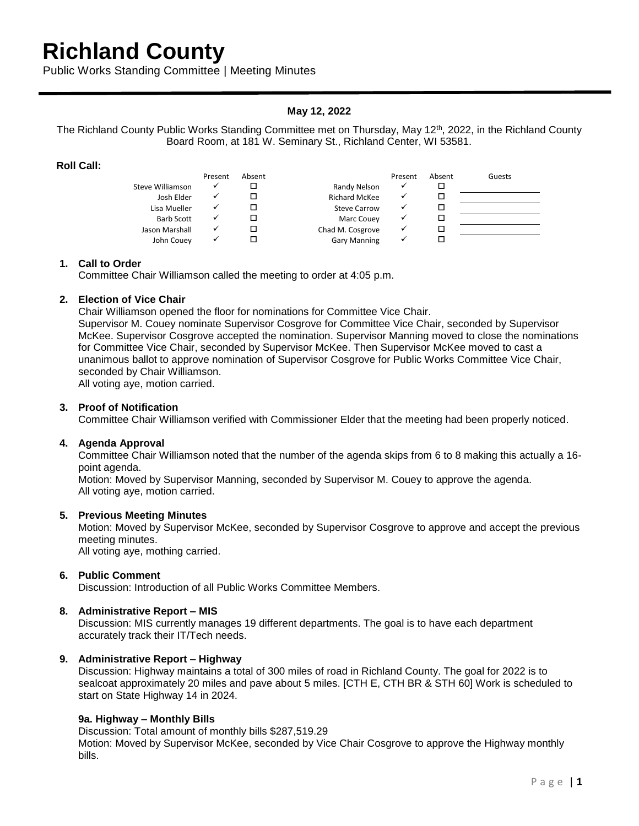# **Richland County**

Public Works Standing Committee | Meeting Minutes

# **May 12, 2022**

The Richland County Public Works Standing Committee met on Thursday, May 12<sup>th</sup>, 2022, in the Richland County Board Room, at 181 W. Seminary St., Richland Center, WI 53581.

## **Roll Call:**

|                  | Present | Absent |                      | Present | Absent | Guests |
|------------------|---------|--------|----------------------|---------|--------|--------|
| Steve Williamson |         |        | Randy Nelson         |         |        |        |
| Josh Elder       |         |        | <b>Richard McKee</b> |         |        |        |
| Lisa Mueller     |         |        | Steve Carrow         |         |        |        |
| Barb Scott       |         |        | Marc Couey           |         |        |        |
| Jason Marshall   |         |        | Chad M. Cosgrove     |         |        |        |
| John Couey       |         |        | <b>Gary Manning</b>  |         |        |        |

## **1. Call to Order**

Committee Chair Williamson called the meeting to order at 4:05 p.m.

## **2. Election of Vice Chair**

Chair Williamson opened the floor for nominations for Committee Vice Chair.

Supervisor M. Couey nominate Supervisor Cosgrove for Committee Vice Chair, seconded by Supervisor McKee. Supervisor Cosgrove accepted the nomination. Supervisor Manning moved to close the nominations for Committee Vice Chair, seconded by Supervisor McKee. Then Supervisor McKee moved to cast a unanimous ballot to approve nomination of Supervisor Cosgrove for Public Works Committee Vice Chair, seconded by Chair Williamson.

All voting aye, motion carried.

## **3. Proof of Notification**

Committee Chair Williamson verified with Commissioner Elder that the meeting had been properly noticed.

#### **4. Agenda Approval**

Committee Chair Williamson noted that the number of the agenda skips from 6 to 8 making this actually a 16 point agenda.

Motion: Moved by Supervisor Manning, seconded by Supervisor M. Couey to approve the agenda. All voting aye, motion carried.

#### **5. Previous Meeting Minutes**

Motion: Moved by Supervisor McKee, seconded by Supervisor Cosgrove to approve and accept the previous meeting minutes.

All voting aye, mothing carried.

### **6. Public Comment**

Discussion: Introduction of all Public Works Committee Members.

#### **8. Administrative Report – MIS**

Discussion: MIS currently manages 19 different departments. The goal is to have each department accurately track their IT/Tech needs.

#### **9. Administrative Report – Highway**

Discussion: Highway maintains a total of 300 miles of road in Richland County. The goal for 2022 is to sealcoat approximately 20 miles and pave about 5 miles. [CTH E, CTH BR & STH 60] Work is scheduled to start on State Highway 14 in 2024.

#### **9a. Highway – Monthly Bills**

Discussion: Total amount of monthly bills \$287,519.29 Motion: Moved by Supervisor McKee, seconded by Vice Chair Cosgrove to approve the Highway monthly bills.